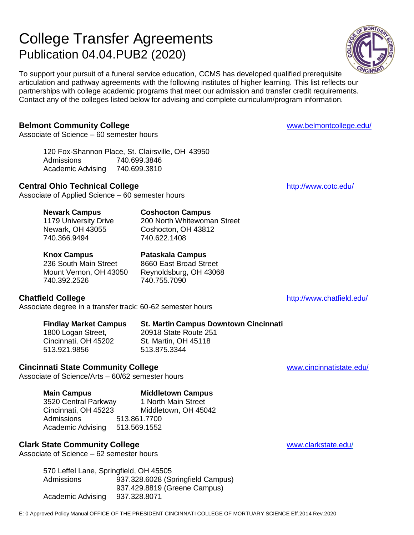# College Transfer Agreements Publication 04.04.PUB2 (2020)

To support your pursuit of a funeral service education, CCMS has developed qualified prerequisite articulation and pathway agreements with the following institutes of higher learning. This list reflects our partnerships with college academic programs that meet our admission and transfer credit requirements. Contact any of the colleges listed below for advising and complete curriculum/program information.

# **Belmont Community College Example 2018** [www.belmontcollege.edu/](http://www.belmontcollege.edu/)

Associate of Science – 60 semester hours

120 Fox-Shannon Place, St. Clairsville, OH 43950 Admissions 740.699.3846 Academic Advising 740.699.3810

# **Central Ohio Technical College <http://www.cotc.edu/>** http://www.cotc.edu/

Associate of Applied Science – 60 semester hours

### **Newark Campus Coshocton Campus**

1179 University Drive 200 North Whitewoman Street Newark, OH 43055 Coshocton, OH 43812 740.366.9494 740.622.1408

# **Knox Campus Pataskala Campus**

# 236 South Main Street 8660 East Broad Street

Mount Vernon, OH 43050 Reynoldsburg, OH 43068 740.392.2526 740.755.7090

# **Chatfield College College College College College College College College College College College College College College College College College College College College College C**

Associate degree in a transfer track: 60-62 semester hours

**Findlay Market Campus St. Martin Campus Downtown Cincinnati** 1800 Logan Street, 20918 State Route 251 Cincinnati, OH 45202 St. Martin, OH 45118 513.921.9856 513.875.3344

# **Cincinnati State Community College** and the community of the contract of the contract [www.cincinnatistate.edu/](http://www.cincinnatistate.edu/)

Associate of Science/Arts – 60/62 semester hours

**Main Campus Middletown Campus**  3520 Central Parkway 1 North Main Street Cincinnati, OH 45223 Middletown, OH 45042 Admissions 513.861.7700 Academic Advising 513.569.1552

# **Clark State Community College Community College Community College Community College Community College Community College Community College Community College Community College Community C**

Associate of Science – 62 semester hours

570 Leffel Lane, Springfield, OH 45505 Admissions 937.328.6028 (Springfield Campus) 937.429.8819 (Greene Campus) Academic Advising 937.328.8071

E: 0 Approved Policy Manual OFFICE OF THE PRESIDENT CINCINNATI COLLEGE OF MORTUARY SCIENCE Eff.2014 Rev.2020

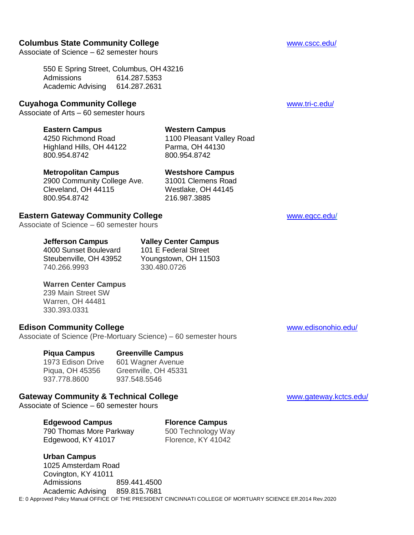#### **Columbus State Community College** With the Columbus State Community College With the College With the College With the College With the College With the College With the College With the College With the College With the

Associate of Science – 62 semester hours

550 E Spring Street, Columbus, OH 43216 Admissions 614.287.5353 Academic Advising 614.287.2631

#### **Cuyahoga Community College** [www.tri-c.edu/](http://www.tri-c.edu/)

Associate of Arts – 60 semester hours

#### **Eastern Campus Western Campus**

4250 Richmond Road 1100 Pleasant Valley Road Highland Hills, OH 44122 Parma, OH 44130 800.954.8742 800.954.8742

#### **Metropolitan Campus Westshore Campus**

2900 Community College Ave. 31001 Clemens Road Cleveland, OH 44115 Westlake, OH 44145 800.954.8742 216.987.3885

### **Eastern Gateway Community College** and the state [www.egcc.edu/](http://www.egcc.edu/)

Associate of Science – 60 semester hours

#### **Jefferson Campus Valley Center Campus**

4000 Sunset Boulevard 101 E Federal Street 740.266.9993 330.480.0726

Steubenville, OH 43952 Youngstown, OH 11503

#### **Warren Center Campus**

239 Main Street SW Warren, OH 44481 330.393.0331

#### **Edison Community College** [www.edisonohio.edu/](http://www.edisonohio.edu/)

Associate of Science (Pre-Mortuary Science) – 60 semester hours

**Piqua Campus Greenville Campus** 1973 Edison Drive 601 Wagner Avenue Piqua, OH 45356 Greenville, OH 45331 937.778.8600 937.548.5546

# **Gateway Community & Technical College** With the College [www.gateway.kctcs.edu/](http://www.gateway.kctcs.edu/)

Associate of Science – 60 semester hours

**Edgewood Campus Florence Campus** 790 Thomas More Parkway 500 Technology Way<br>Edgewood. KY 41017 Florence. KY 41042 Edgewood, KY 41017

E: 0 Approved Policy Manual OFFICE OF THE PRESIDENT CINCINNATI COLLEGE OF MORTUARY SCIENCE Eff.2014 Rev.2020 **Urban Campus** 1025 Amsterdam Road Covington, KY 41011 Admissions 859.441.4500 Academic Advising 859.815.7681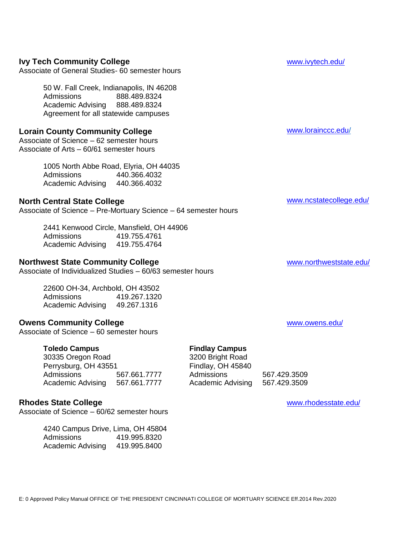# **Ivy Tech Community College** William School and William William William William William William William William William William William William William William William William William William William William William Willia

Associate of General Studies- 60 semester hours

50 W. Fall Creek, Indianapolis, IN 46208 Admissions 888.489.8324 Academic Advising 888.489.8324 Agreement for all statewide campuses

# **Lorain County Community College** [www.lorainccc.edu/](http://www.lorainccc.edu/)

Associate of Science – 62 semester hours Associate of Arts – 60/61 semester hours

> 1005 North Abbe Road, Elyria, OH 44035 Admissions 440.366.4032 Academic Advising 440.366.4032

# **North Central State College** [www.ncstatecollege.edu/](http://www.ncstatecollege.edu/)

Associate of Science – Pre-Mortuary Science – 64 semester hours

2441 Kenwood Circle, Mansfield, OH 44906 Admissions 419.755.4761 Academic Advising 419.755.4764

### **Northwest State Community College** William Community College [www.northweststate.edu/](http://www.northweststate.edu/)

Associate of Individualized Studies – 60/63 semester hours

22600 OH-34, Archbold, OH 43502 Admissions 419.267.1320 Academic Advising 49.267.1316

# **Owens Community College William School Community College William School Community College William School Community College William School Community College William School Community College William School Community College**

Associate of Science – 60 semester hours

**Toledo Campus**<br> **Findlay Campus**<br> **Findlay Campus**<br> **Findlay Campus**<br> **Findlay Campus** 30335 Oregon Road<br>
200 Bright Road<br>
200 Bright Road<br>
2014 Findlay, OH 45840 Perrysburg, OH 43551 Admissions 567.661.7777 Admissions 567.429.3509 Academic Advising 567.661.7777 Academic Advising 567.429.3509

# **Rhodes State College** [www.rhodesstate.edu/](http://www.rhodesstate.edu/)

Associate of Science – 60/62 semester hours

4240 Campus Drive, Lima, OH 45804 Admissions 419.995.8320 Academic Advising 419.995.8400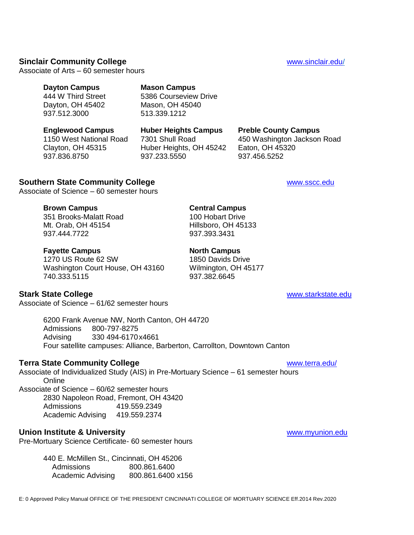### **Sinclair Community College Community College Community College Community College WALLS**

Associate of Arts – 60 semester hours

# **Dayton Campus Mason Campus**

444 W Third Street 5386 Courseview Drive Dayton, OH 45402 Mason, OH 45040 937.512.3000 513.339.1212

Clayton, OH 45315 Huber Heights, OH 45242 Eaton, OH 45320 937.836.8750 937.233.5550 937.456.5252

# **Englewood Campus Huber Heights Campus Preble County Campus**

1150 West National Road 7301 Shull Road 450 Washington Jackson Road

### **Southern State Community College Wave Community College Wave Community College** Wave Community College

Associate of Science – 60 semester hours

#### **Brown Campus Central Campus**

351 Brooks-Malatt Road 100 Hobart Drive Mt. Orab, OH 45154 Hillsboro, OH 45133 937.444.7722 937.393.3431

#### **Fayette Campus North Campus**

1270 US Route 62 SW 1850 Davids Drive Washington Court House, OH 43160 Wilmington, OH 45177 740.333.5115 937.382.6645

**Stark State College** [www.starkstate.edu](http://www.starkstate.edu/)

Associate of Science – 61/62 semester hours

6200 Frank Avenue NW, North Canton, OH 44720 Admissions 800-797-8275 Advising 330 494-6170x4661 Four satellite campuses: Alliance, Barberton, Carrollton, Downtown Canton

### **Terra State Community College WALLER 2009 120 WWW.terra.edu/**

Associate of Individualized Study (AIS) in Pre-Mortuary Science – 61 semester hours **Online** Associate of Science – 60/62 semester hours 2830 Napoleon Road, Fremont, OH 43420

Admissions 419.559.2349 Academic Advising 419.559.2374

# **Union Institute & University** [www.myunion.edu](http://www.myunion.edu/)

Pre-Mortuary Science Certificate- 60 semester hours

440 E. McMillen St., Cincinnati, OH 45206 Admissions 800.861.6400 Academic Advising 800.861.6400 x156

E: 0 Approved Policy Manual OFFICE OF THE PRESIDENT CINCINNATI COLLEGE OF MORTUARY SCIENCE Eff.2014 Rev.2020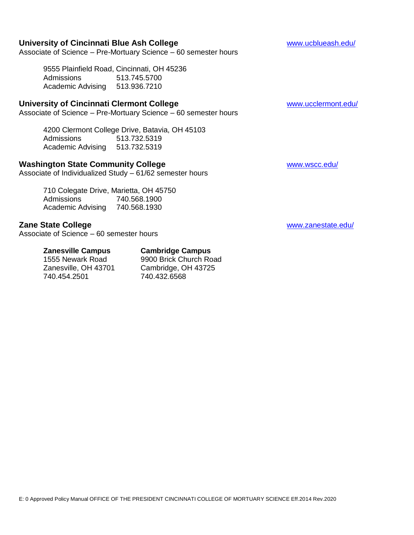# **University of Cincinnati Blue Ash College** Washangton Manus Washington Washington Washington Washington Washington

Associate of Science – Pre-Mortuary Science – 60 semester hours

9555 Plainfield Road, Cincinnati, OH 45236 Admissions 513.745.5700 Academic Advising 513.936.7210

### **University of Cincinnati Clermont College** William Construction of the William William William William William W

Associate of Science – Pre-Mortuary Science – 60 semester hours

4200 Clermont College Drive, Batavia, OH 45103 Admissions 513.732.5319 Academic Advising 513.732.5319

# **Washington State Community College** Washington State Community College

Associate of Individualized Study – 61/62 semester hours

710 Colegate Drive, Marietta, OH 45750 Admissions 740.568.1900 Academic Advising 740.568.1930

# **Zane State College** [www.zanestate.edu/](http://www.zanestate.edu/)

Associate of Science – 60 semester hours

740.454.2501

### **Zanesville Campus Cambridge Campus**

1555 Newark Road 9900 Brick Church Road<br>
Zanesville. OH 43701 Cambridge. OH 43725 Cambridge, OH 43725<br>740.432.6568